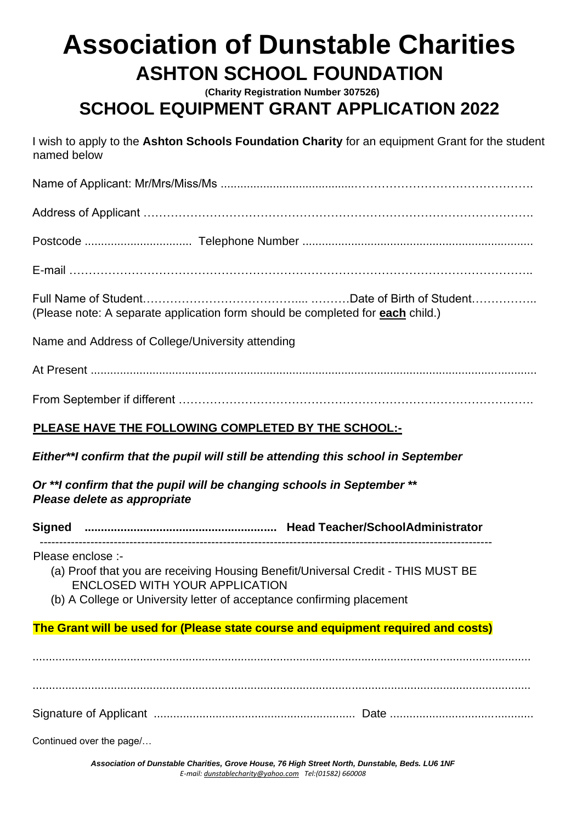# **Association of Dunstable Charities ASHTON SCHOOL FOUNDATION**

**(Charity Registration Number 307526)** 

### **SCHOOL EQUIPMENT GRANT APPLICATION 2022**

I wish to apply to the **Ashton Schools Foundation Charity** for an equipment Grant for the student named below

Name of Applicant: Mr/Mrs/Miss/Ms .........................................………………………………………. Address of Applicant ……………………………………………………………………………………….

Postcode ................................. Telephone Number .......................................................................

E-mail ………………………………………………………………………………………………………..

Full Name of Student………………………………….... .………Date of Birth of Student…………….. (Please note: A separate application form should be completed for **each** child.)

Name and Address of College/University attending

At Present .........................................................................................................................................

From September if different ……………………………………………………………………………….

#### **PLEASE HAVE THE FOLLOWING COMPLETED BY THE SCHOOL:-**

#### *Either\*\*I confirm that the pupil will still be attending this school in September*

*Or \*\*I confirm that the pupil will be changing schools in September* **\*\***  *Please delete as appropriate* 

**Signed ........................................................... Head Teacher/SchoolAdministrator** 

--------------------------------------------------------------------------------------------------------------------

Please enclose :-

- (a) Proof that you are receiving Housing Benefit/Universal Credit THIS MUST BE ENCLOSED WITH YOUR APPLICATION
- (b) A College or University letter of acceptance confirming placement

#### **The Grant will be used for (Please state course and equipment required and costs)**

......................................................................................................................................................... ......................................................................................................................................................... Signature of Applicant .............................................................. Date ............................................

Continued over the page/…

*Association of Dunstable Charities, Grove House, 76 High Street North, Dunstable, Beds. LU6 1NF E-mail[: dunstablecharity@yahoo.com](mailto:dunstablecharity@yahoo.com) Tel:(01582) 660008*